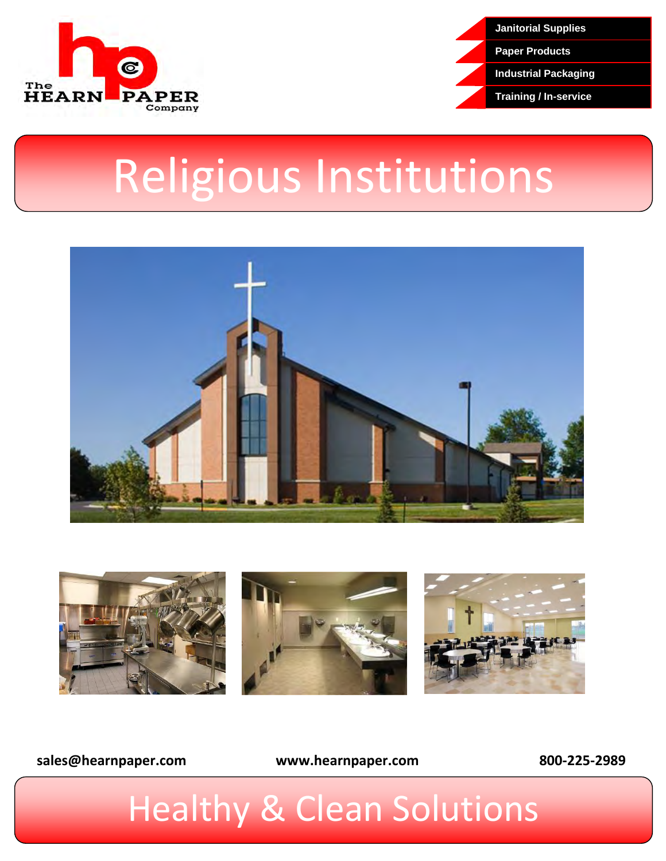



# Religious Institutions





**[sales@hearnpaper.com](mailto:sales@hearnpaper.com) www.hearnpaper.com 800-225-2989**

# **Healthy & Clean Solutions**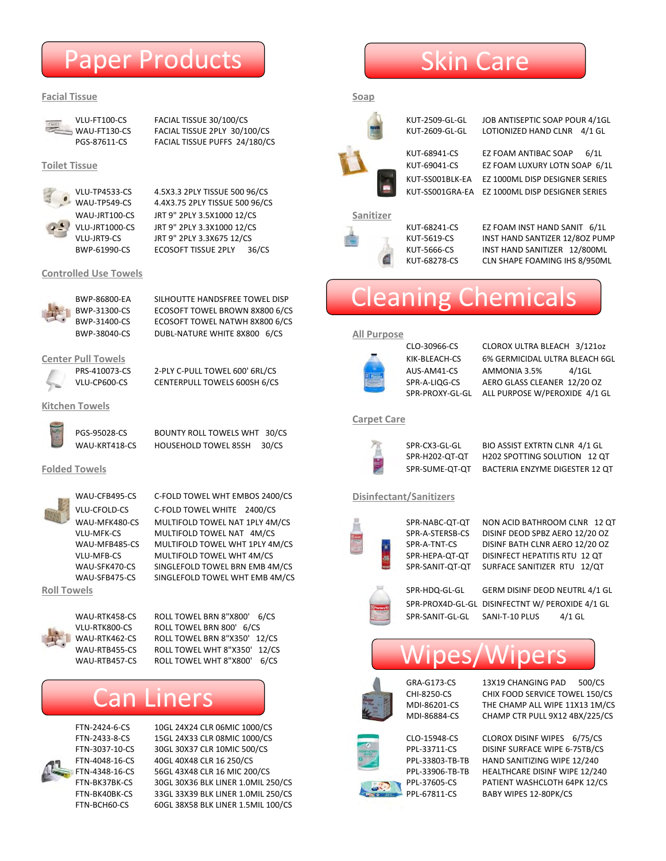## Paper Products

## **Facial Tissue Soap**

PGS-87611-CS FACIAL TISSUE PUFFS 24/180/CS



WAU-TP549-CS 4.4X3.75 2PLY TISSUE 500 96/CS WAU-JRT100-CS JRT 9" 2PLY 3.5X1000 12/CS **Sanitizer** VLU-JRT1000-CS JRT 9" 2PLY 3.3X1000 12/CS 
BELY AND SANIT AND SANIT 6/1L

## **Controlled Use Towels**



BWP-86800-EA SILHOUTTE HANDSFREE TOWEL DISP BWP-31300-CS ECOSOFT TOWEL BROWN 8X800 6/CS BWP-31400-CS ECOSOFT TOWEL NATWH 8X800 6/CS BWP-38040-CS DUBL-NATURE WHITE 8X800 6/CS **All Purpose**

PRS-410073-CS 2-PLY C-PULL TOWEL 600' 6RL/CS AUS-AM41-CS AMMONIA 3.5% 4/1GL VLU-CP600-CS CENTERPULL TOWELS 600SH 6/CS SPR-A-LIQG-CS AERO GLASS CLEANER 12/20 OZ

## **Kitchen Towels**



PGS-95028-CS BOUNTY ROLL TOWELS WHT 30/CS WAU-KRT418-CS HOUSEHOLD TOWEL 85SH 30/CS SPR-CX3-GL-GL BIO ASSIST EXTRTN CLNR 4/1 GL



WAU-CFB495-CS C-FOLD TOWEL WHT EMBOS 2400/CS **Disinfectant/Sanitizers** VLU-CFOLD-CS C-FOLD TOWEL WHITE 2400/CS WAU-MFK480-CS MULTIFOLD TOWEL NAT 1PLY 4M/CS SPR-NABC-QT-QT NON ACID BATHROOM CLNR 12 QT VLU-MFK-CS MULTIFOLD TOWEL NAT 4M/CS SPR-A-STERSB-CS DISINF DEOD SPBZ AERO 12/20 OZ WAU-MFB485-CS MULTIFOLD TOWEL WHT 1PLY 4M/CS SPR-A-TNT-CS DISINF BATH CLNR AERO 12/20 OZ VLU-MFB-CS MULTIFOLD TOWEL WHT 4M/CS SPR-HEPA-QT-QT DISINFECT HEPATITIS RTU 12 QT WAU-SFK470-CS SINGLEFOLD TOWEL BRN EMB 4M/CS SPR-SANIT-QT-QT SURFACE SANITIZER RTU 12/QT WAU-SFB475-CS SINGLEFOLD TOWEL WHT EMB 4M/CS



WAU-RTK458-CS ROLL TOWEL BRN 8"X800' 6/CS SPR-SANIT-GL-GL SANI-T-10 PLUS 4/1 GL VLU-RTK800-CS ROLL TOWEL BRN 800' 6/CS WAU-RTK462-CS ROLL TOWEL BRN 8"X350' 12/CS WAU-RTB455-CS ROLL TOWEL WHT 8"X350' 12/CS WAU-RTB457-CS ROLL TOWEL WHT 8"X800' 6/CS

## Can Liners



FTN-2424-6-CS 10GL 24X24 CLR 06MIC 1000/CS FTN-2433-8-CS 15GL 24X33 CLR 08MIC 1000/CS CLO-15948-CS CLOROX DISINF WIPES 6/75/CS FTN-3037-10-CS 30GL 30X37 CLR 10MIC 500/CS **PPL-33711-CS** DISINF SURFACE WIPE 6-75TB/CS FTN-4048-16-CS 40GL 40X48 CLR 16 250/CS PPL-33803-TB-TB HAND SANITIZING WIPE 12/240 FTN-4348-16-CS 56GL 43X48 CLR 16 MIC 200/CS PPL-33906-TB-TB HEALTHCARE DISINF WIPE 12/240 FTN-BK37BK-CS 30GL 30X36 BLK LINER 1.0MIL 250/CS PRIMARY PPL-37605-CS PATIENT WASHCLOTH 64PK 12/CS FTN-BK40BK-CS 33GL 33X39 BLK LINER 1.0MIL 250/CS PPL-67811-CS BABY WIPES 12-80PK/CS FTN-BCH60-CS 60GL 38X58 BLK LINER 1.5MIL 100/CS

## Skin Care



VLU-FT100-CS FACIAL TISSUE 30/100/CS FACIAL TISSUE 30/100/CS RESERVED AND THE SOLUTION OF ANTISEPTIC SOAP POUR 4/1GL

WAU-FT130-CS FACIAL TISSUE 2PLY 30/100/CS KUT-2609-GL-GL LOTIONIZED HAND CLNR 4/1 GL

KUT-68941-CS EZ FOAM ANTIBAC SOAP 6/1L **Toilet Tissue** KUT-69041-CS EZ FOAM LUXURY LOTN SOAP 6/1L KUT-SS001BLK-EA EZ 1000ML DISP DESIGNER SERIES VLU-TP4533-CS 4.5X3.3 2PLY TISSUE 500 96/CS KUT-SS001GRA-EA EZ 1000ML DISP DESIGNER SERIES



VLU-JRT9-CS JRT 9" 2PLY 3.3X675 12/CS KUT-5619-CS INST HAND SANTIZER 12/8OZ PUMP ECOSOFT TISSUE 2PLY 36/CS **ECOSOFT TISSUE 2PLY 36/CS** KUT-5666-CS INST HAND SANITIZER 12/800ML KUT-68278-CS CLN SHAPE FOAMING IHS 8/950ML

## Cleaning Chemicals



CLO-30966-CS CLOROX ULTRA BLEACH 3/121oz **Center Pull Towels** KIK-BLEACH-CS 6% GERMICIDAL ULTRA BLEACH 6GL SPR-PROXY-GL-GL ALL PURPOSE W/PEROXIDE 4/1 GL

## **Carpet Care**



SPR-H202-QT-QT H202 SPOTTING SOLUTION 12 QT **Folded Towels** SPR-SUME-QT-QT BACTERIA ENZYME DIGESTER 12 QT



**Roll Towels** SPR-HDQ-GL-GL GERM DISINF DEOD NEUTRL 4/1 GL SPR-PROX4D-GL-GL DISINFECTNT W/ PEROXIDE 4/1 GL

## Wipes/Wipers





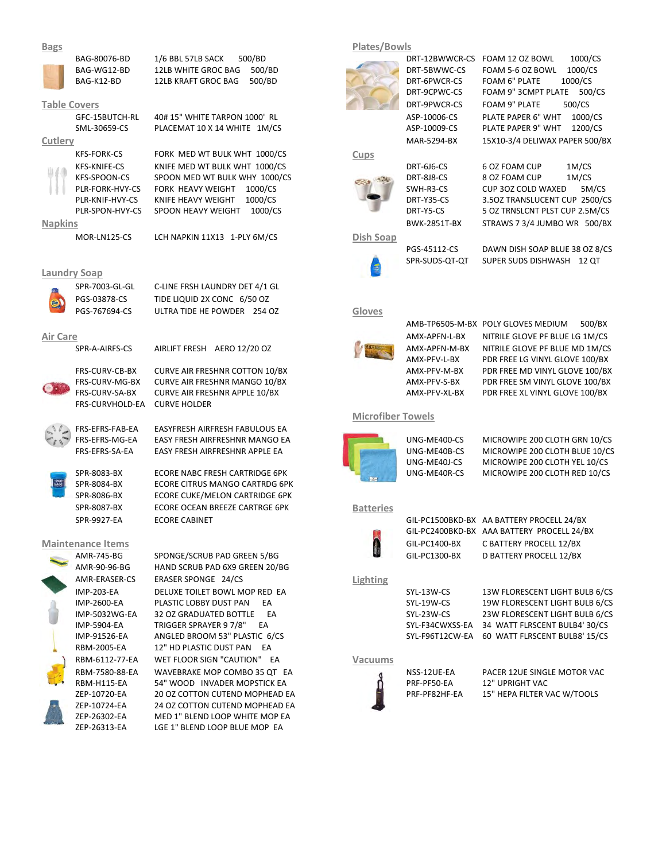## **Bags Plates/Bowls**



BAG-80076-BD 1/6 BBL 57LB SACK 500/BD 1000 DRT-12BWWCR-CS FOAM 12 OZ BOWL 1000/CS BAG-WG12-BD 12LB WHITE GROC BAG 500/BD DRT-5BWWC-CS FOAM 5-6 OZ BOWL 1000/CS BAG-K12-BD 12LB KRAFT GROC BAG 500/BD DRT-6PWCR-CS FOAM 6" PLATE 1000/CS

KFS-FORK-CS FORK MED WT BULK WHT 1000/CS **Cups** KFS-KNIFE-CS KNIFE MED WT BULK WHT 1000/CS DRT-6J6-CS 6 OZ FOAM CUP 1M/CS KFS-SPOON-CS SPOON MED WT BULK WHY 1000/CS DRT-8J8-CS 8 OZ FOAM CUP 1M/CS PLR-FORK-HVY-CS FORK HEAVY WEIGHT 1000/CS SWH-R3-CS CUP 302 COLD WAXED 5M/CS PLR-KNIF-HVY-CS KNIFE HEAVY WEIGHT 1000/CS DRT-Y35-CS 3.5OZ TRANSLUCENT CUP 2500/CS PLR-SPON-HVY-CS SPOON HEAVY WEIGHT 1000/CS DRT-Y5-CS 5 OZ TRNSLCNT PLST CUP 2.5M/CS

MOR-LN125-CS LCH NAPKIN 11X13 1-PLY 6M/CS **Dish Soap**

## **Laundry Soap**



FRS-CURV-MG-BX CURVE AIR FRESHNR MANGO 10/BX AMX-PFV-S-BX PDR FREE SM VINYL GLOVE 100/BX FRS-CURV-SA-BX CURVE AIR FRESHNR APPLE 10/BX AMX-PFV-XL-BX PDR FREE XL VINYL GLOVE 100/BX FRS-CURVHOLD-EA CURVE HOLDER

FRS-EFRS-FAB-EA EASYFRESH AIRFRESH FABULOUS EA

SPR-8084-BX ECORE CITRUS MANGO CARTRDG 6PK SPR-8086-BX ECORE CUKE/MELON CARTRIDGE 6PK SPR-8087-BX **ECORE OCEAN BREEZE CARTRGE 6PK Batteries** 

AMR-745-BG SPONGE/SCRUB PAD GREEN 5/BG GIL-PC1300-BX D BATTERY PROCELL 12/BX AMR-90-96-BG HAND SCRUB PAD 6X9 GREEN 20/BG AMR-ERASER-CS ERASER SPONGE 24/CS **Lighting** RBM-2005-EA 12" HD PLASTIC DUST PAN EA RBM-6112-77-EA WET FLOOR SIGN "CAUTION" EA **Vacuums** RBM-7580-88-EA WAVEBRAKE MOP COMBO 35 QT EA NSS-12UE-EA PACER 12UE SINGLE MOTOR VAC RBM-H115-EA 54" WOOD INVADER MOPSTICK EA PRF-PF50-EA 12" UPRIGHT VAC ZEP-10720-EA 20 OZ COTTON CUTEND MOPHEAD EA PRE-PF82HF-EA 15" HEPA FILTER VAC W/TOOLS ZEP-10724-EA 24 OZ COTTON CUTEND MOPHEAD EA ZEP-26302-EA MED 1" BLEND LOOP WHITE MOP EA ZEP-26313-EA LGE 1" BLEND LOOP BLUE MOP EA





DRT-9CPWC-CS FOAM 9" 3CMPT PLATE 500/CS **Table Covers Example 2009 COVERS COVERS COVERS COVERS DRT-9PWCR-CS FOAM 9" PLATE 500/CS** GFC-15BUTCH-RL 40# 15" WHITE TARPON 1000' RL ASP-10006-CS PLATE PAPER 6" WHT 1000/CS SML-30659-CS PLACEMAT 10 X 14 WHITE 1M/CS ASP-10009-CS PLATE PAPER 9" WHT 1200/CS **Cutlery** MAR-5294-BX 15X10-3/4 DELIWAX PAPER 500/BX















**Napkins** BWK-2851T-BX STRAWS 7 3/4 JUMBO WR 500/BX



PGS-45112-CS DAWN DISH SOAP BLUE 38 OZ 8/CS



SPR-SUDS-QT-QT SUPER SUDS DISHWASH 12 QT



AMB-TP6505-M-BX POLY GLOVES MEDIUM 500/BX **Air Care** AMX-APFN-L-BX NITRILE GLOVE PF BLUE LG 1M/CS SPR-A-AIRFS-CS AIRLIFT FRESH AERO 12/20 OZ AMX-APFN-M-BX NITRILE GLOVE PF BLUE MD 1M/CS AMX-PFV-L-BX PDR FREE LG VINYL GLOVE 100/BX FRS-CURV-CB-BX CURVE AIR FRESHNR COTTON 10/BX AMX-PFV-M-BX PDR FREE MD VINYL GLOVE 100/BX

## **Microfiber Towels**



FRS-EFRS-MG-EA EASY FRESH AIRFRESHNR MANGO EA UNG-ME400-CS MICROWIPE 200 CLOTH GRN 10/CS FRS-EFRS-SA-EA EASY FRESH AIRFRESHNR APPLE EA UNG-ME40B-CS MICROWIPE 200 CLOTH BLUE 10/CS UNG-ME40J-CS MICROWIPE 200 CLOTH YEL 10/CS SPR-8083-BX ECORE NABC FRESH CARTRIDGE 6PK UNG-ME40R-CS MICROWIPE 200 CLOTH RED 10/CS



SPR-9927-EA ECORE CABINET CONVERTED BY GIL-PC1500BKD-BX AA BATTERY PROCELL 24/BX GIL-PC2400BKD-BX AAA BATTERY PROCELL 24/BX **Maintenance Items** GIL-PC1400-BX C BATTERY PROCELL 12/BX

|                   | _________________             | $-121111112$ |                                               |
|-------------------|-------------------------------|--------------|-----------------------------------------------|
| <b>IMP-203-EA</b> | DELUXE TOILET BOWL MOP RED EA | SYL-13W-CS   | 13W FLORESCENT LIGHT BULB 6/CS                |
| IMP-2600-EA       | PLASTIC LOBBY DUST PAN<br>FA  | SYL-19W-CS   | 19W FLORESCENT LIGHT BULB 6/CS                |
| IMP-5032WG-EA     | 32 OZ GRADUATED BOTTLE<br>FA  | SYL-23W-CS   | 23W FLORESCENT LIGHT BULB 6/CS                |
| IMP-5904-EA       | TRIGGER SPRAYER 9 7/8"<br>EA  |              | SYL-F34CWXSS-EA 34 WATT FLRSCENT BULB4' 30/CS |
| IMP-91526-EA      | ANGLED BROOM 53" PLASTIC 6/CS |              | SYL-F96T12CW-EA 60 WATT FLRSCENT BULB8' 15/CS |
|                   |                               |              |                                               |